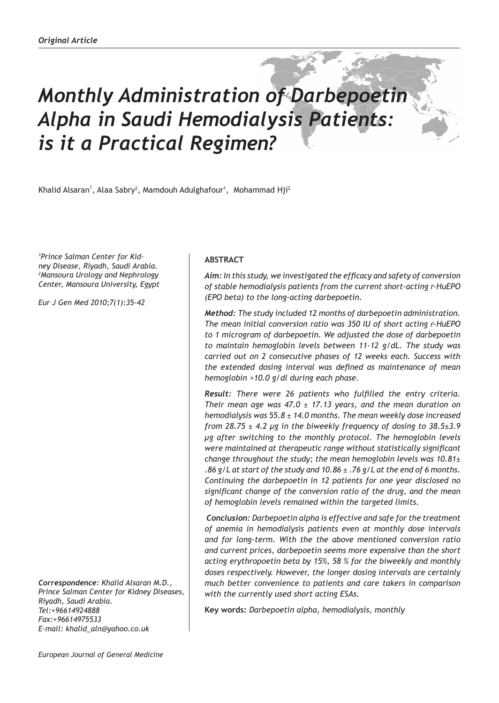# *Monthly Administration of Darbepoetin Alpha in Saudi Hemodialysis Patients: is it a Practical Regimen?*

Khalid Alsaran<sup>1</sup>, Alaa Sabry<sup>2</sup>, Mamdouh Adulghafour<sup>1</sup>, Mohammad Hji<sup>2</sup>

*1 Prince Salman Center for Kidney Disease, Riyadh, Saudi Arabia. 2 Mansoura Urology and Nephrology Center, Mansoura University, Egypt* 

*Eur J Gen Med 2010;7(1):35-42*

*Correspondence: Khalid Alsaran M.D., Prince Salman Center for Kidney Diseases, Riyadh, Saudi Arabia. Tel:+96614924888 Fax:+96614975533 E-mail: khalid\_aln@yahoo.co.uk*

## **ABSTRACT**

*Aim: In this study, we investigated the efficacy and safety of conversion of stable hemodialysis patients from the current short-acting r-HuEPO (EPO beta) to the long-acting darbepoetin.* 

*Method: The study included 12 months of darbepoetin administration. The mean initial conversion ratio was 350 IU of short acting r-HuEPO to 1 microgram of darbepoetin. We adjusted the dose of darbepoetin to maintain hemoglobin levels between 11-12 g/dL. The study was carried out on 2 consecutive phases of 12 weeks each. Success with the extended dosing interval was defined as maintenance of mean hemoglobin >10.0 g/dl during each phase.*

*Result: There were 26 patients who fulfilled the entry criteria. Their mean age was 47.0 ± 17.13 years, and the mean duration on hemodialysis was 55.8 ± 14.0 months. The mean weekly dose increased from 28.75 ± 4.2 µg in the biweekly frequency of dosing to 38.5±3.9 µg after switching to the monthly protocol. The hemoglobin levels were maintained at therapeutic range without statistically significant change throughout the study; the mean hemoglobin levels was 10.81± .86 g/L at start of the study and 10.86 ± .76 g/L at the end of 6 months. Continuing the darbepoetin in 12 patients for one year disclosed no significant change of the conversion ratio of the drug, and the mean of hemoglobin levels remained within the targeted limits.* 

 *Conclusion: Darbepoetin alpha is effective and safe for the treatment of anemia in hemodialysis patients even at monthly dose intervals and for long-term. With the the above mentioned conversion ratio and current prices, darbepoetin seems more expensive than the short acting erythropoetin beta by 15%, 58 % for the biweekly and monthly doses respectively. However, the longer dosing intervals are certainly much better convenience to patients and care takers in comparison with the currently used short acting ESAs.*

**Key words:** *Darbepoetin alpha, hemodialysis, monthly*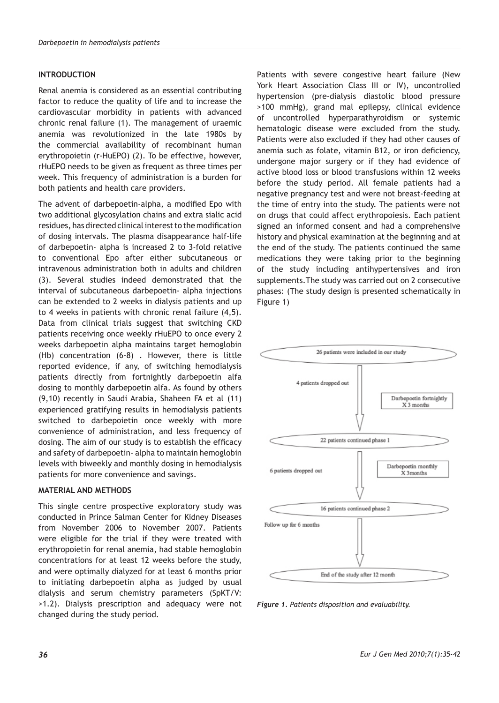# **INTRODUCTION**

Renal anemia is considered as an essential contributing factor to reduce the quality of life and to increase the cardiovascular morbidity in patients with advanced chronic renal failure (1). The management of uraemic anemia was revolutionized in the late 1980s by the commercial availability of recombinant human erythropoietin (r-HuEPO) (2). To be effective, however, rHuEPO needs to be given as frequent as three times per week. This frequency of administration is a burden for both patients and health care providers.

The advent of darbepoetin-alpha, a modified Epo with two additional glycosylation chains and extra sialic acid residues, has directed clinical interest to the modification of dosing intervals. The plasma disappearance half-life of darbepoetin- alpha is increased 2 to 3-fold relative to conventional Epo after either subcutaneous or intravenous administration both in adults and children (3). Several studies indeed demonstrated that the interval of subcutaneous darbepoetin- alpha injections can be extended to 2 weeks in dialysis patients and up to 4 weeks in patients with chronic renal failure (4,5). Data from clinical trials suggest that switching CKD patients receiving once weekly rHuEPO to once every 2 weeks darbepoetin alpha maintains target hemoglobin (Hb) concentration (6-8) . However, there is little reported evidence, if any, of switching hemodialysis patients directly from fortnightly darbepoetin alfa dosing to monthly darbepoetin alfa. As found by others (9,10) recently in Saudi Arabia, Shaheen FA et al (11) experienced gratifying results in hemodialysis patients switched to darbepoietin once weekly with more convenience of administration, and less frequency of dosing. The aim of our study is to establish the efficacy and safety of darbepoetin- alpha to maintain hemoglobin levels with biweekly and monthly dosing in hemodialysis patients for more convenience and savings.

## **MATERIAL AND METHODS**

This single centre prospective exploratory study was conducted in Prince Salman Center for Kidney Diseases from November 2006 to November 2007. Patients were eligible for the trial if they were treated with erythropoietin for renal anemia, had stable hemoglobin concentrations for at least 12 weeks before the study, and were optimally dialyzed for at least 6 months prior to initiating darbepoetin alpha as judged by usual dialysis and serum chemistry parameters (SpKT/V: >1.2). Dialysis prescription and adequacy were not changed during the study period.

Patients with severe congestive heart failure (New York Heart Association Class III or IV), uncontrolled hypertension (pre-dialysis diastolic blood pressure >100 mmHg), grand mal epilepsy, clinical evidence of uncontrolled hyperparathyroidism or systemic hematologic disease were excluded from the study. Patients were also excluded if they had other causes of anemia such as folate, vitamin B12, or iron deficiency, undergone major surgery or if they had evidence of active blood loss or blood transfusions within 12 weeks before the study period. All female patients had a negative pregnancy test and were not breast-feeding at the time of entry into the study. The patients were not on drugs that could affect erythropoiesis. Each patient signed an informed consent and had a comprehensive history and physical examination at the beginning and at the end of the study. The patients continued the same medications they were taking prior to the beginning of the study including antihypertensives and iron supplements.The study was carried out on 2 consecutive phases: (The study design is presented schematically in Figure 1)



*Figure 1. Patients disposition and evaluability.*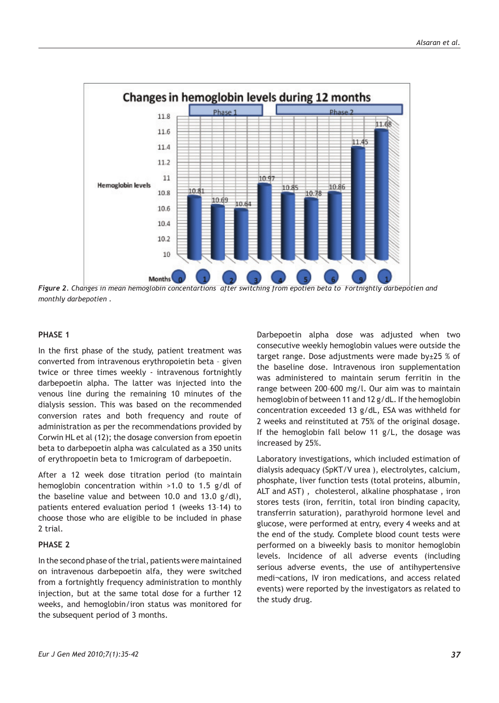

*Figure 2. Changes in mean hemoglobin concentartions after switching from epotien beta to Fortnightly darbepotien and monthly darbepotien .*

#### **PHASE 1**

In the first phase of the study, patient treatment was converted from intravenous erythropoietin beta – given twice or three times weekly - intravenous fortnightly darbepoetin alpha. The latter was injected into the venous line during the remaining 10 minutes of the dialysis session. This was based on the recommended conversion rates and both frequency and route of administration as per the recommendations provided by Corwin HL et al (12); the dosage conversion from epoetin beta to darbepoetin alpha was calculated as a 350 units of erythropoetin beta to 1microgram of darbepoetin.

After a 12 week dose titration period (to maintain hemoglobin concentration within >1.0 to 1.5 g/dl of the baseline value and between 10.0 and 13.0 g/dl), patients entered evaluation period 1 (weeks 13–14) to choose those who are eligible to be included in phase 2 trial.

## **PHASE 2**

In the second phase of the trial, patients were maintained on intravenous darbepoetin alfa, they were switched from a fortnightly frequency administration to monthly injection, but at the same total dose for a further 12 weeks, and hemoglobin/iron status was monitored for the subsequent period of 3 months.

Darbepoetin alpha dose was adjusted when two consecutive weekly hemoglobin values were outside the target range. Dose adjustments were made by $±25$  % of the baseline dose. Intravenous iron supplementation was administered to maintain serum ferritin in the range between 200–600 mg/l. Our aim was to maintain hemoglobin of between 11 and 12 g/dL. If the hemoglobin concentration exceeded 13 g/dL, ESA was withheld for 2 weeks and reinstituted at 75% of the original dosage. If the hemoglobin fall below 11 g/L, the dosage was increased by 25%.

Laboratory investigations, which included estimation of dialysis adequacy (SpKT/V urea ), electrolytes, calcium, phosphate, liver function tests (total proteins, albumin, ALT and AST) , cholesterol, alkaline phosphatase , iron stores tests (iron, ferritin, total iron binding capacity, transferrin saturation), parathyroid hormone level and glucose, were performed at entry, every 4 weeks and at the end of the study. Complete blood count tests were performed on a biweekly basis to monitor hemoglobin levels. Incidence of all adverse events (including serious adverse events, the use of antihypertensive medi¬cations, IV iron medications, and access related events) were reported by the investigators as related to the study drug.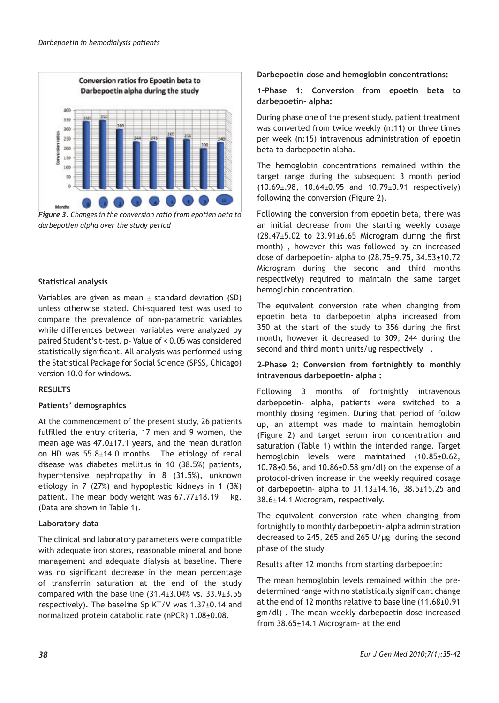

*Figure 3. Changes in the conversion ratio from epotien beta to darbepotien alpha over the study period*

# **Statistical analysis**

Variables are given as mean  $\pm$  standard deviation (SD) unless otherwise stated. Chi-squared test was used to compare the prevalence of non-parametric variables while differences between variables were analyzed by paired Student's t-test. p- Value of < 0.05 was considered statistically significant. All analysis was performed using the Statistical Package for Social Science (SPSS, Chicago) version 10.0 for windows.

## **RESULTS**

## **Patients' demographics**

At the commencement of the present study, 26 patients fulfilled the entry criteria, 17 men and 9 women, the mean age was 47.0±17.1 years, and the mean duration on HD was  $55.8 \pm 14.0$  months. The etiology of renal disease was diabetes mellitus in 10 (38.5%) patients, hyper¬tensive nephropathy in 8 (31.5%), unknown etiology in 7 (27%) and hypoplastic kidneys in 1 (3%) patient. The mean body weight was  $67.77 \pm 18.19$  kg. (Data are shown in Table 1).

## **Laboratory data**

The clinical and laboratory parameters were compatible with adequate iron stores, reasonable mineral and bone management and adequate dialysis at baseline. There was no significant decrease in the mean percentage of transferrin saturation at the end of the study compared with the base line  $(31.4±3.04%$  vs.  $33.9±3.55$ respectively). The baseline Sp KT/V was 1.37±0.14 and normalized protein catabolic rate (nPCR) 1.08±0.08.

**Darbepoetin dose and hemoglobin concentrations:**

**1-Phase 1: Conversion from epoetin beta to darbepoetin- alpha:**

During phase one of the present study, patient treatment was converted from twice weekly (n:11) or three times per week (n:15) intravenous administration of epoetin beta to darbepoetin alpha.

The hemoglobin concentrations remained within the target range during the subsequent 3 month period  $(10.69\pm.98, 10.64\pm0.95, and 10.79\pm0.91)$  respectively) following the conversion (Figure 2).

Following the conversion from epoetin beta, there was an initial decrease from the starting weekly dosage  $(28.47±5.02$  to  $23.91±6.65$  Microgram during the first month) , however this was followed by an increased dose of darbepoetin- alpha to  $(28.75 \pm 9.75, 34.53 \pm 10.72)$ Microgram during the second and third months respectively) required to maintain the same target hemoglobin concentration.

The equivalent conversion rate when changing from epoetin beta to darbepoetin alpha increased from 350 at the start of the study to 356 during the first month, however it decreased to 309, 244 during the second and third month units/ug respectively .

## **2-Phase 2: Conversion from fortnightly to monthly intravenous darbepoetin- alpha :**

Following 3 months of fortnightly intravenous darbepoetin- alpha, patients were switched to a monthly dosing regimen. During that period of follow up, an attempt was made to maintain hemoglobin (Figure 2) and target serum iron concentration and saturation (Table 1) within the intended range. Target hemoglobin levels were maintained (10.85±0.62,  $10.78\pm0.56$ , and  $10.86\pm0.58$  gm/dl) on the expense of a protocol-driven increase in the weekly required dosage of darbepoetin- alpha to  $31.13 \pm 14.16$ ,  $38.5 \pm 15.25$  and 38.6±14.1 Microgram, respectively.

The equivalent conversion rate when changing from fortnightly to monthly darbepoetin- alpha administration decreased to 245, 265 and 265 U/µg during the second phase of the study

Results after 12 months from starting darbepoetin:

The mean hemoglobin levels remained within the predetermined range with no statistically significant change at the end of 12 months relative to base line (11.68±0.91 gm/dl) . The mean weekly darbepoetin dose increased from 38.65±14.1 Microgram- at the end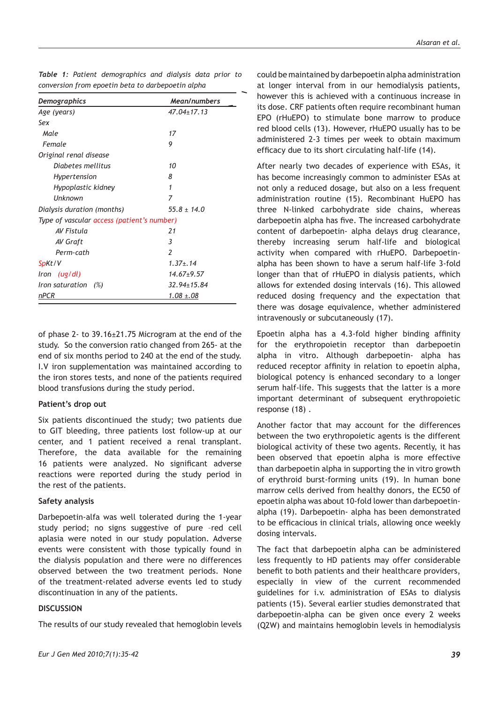| Demographics                               | Mean/numbers<br>$47.04 + 17.13$ |  |  |  |
|--------------------------------------------|---------------------------------|--|--|--|
| Age (years)                                |                                 |  |  |  |
| Sex                                        |                                 |  |  |  |
| Male                                       | 17                              |  |  |  |
| Female                                     | 9                               |  |  |  |
| Original renal disease                     |                                 |  |  |  |
| Diabetes mellitus                          | 10                              |  |  |  |
| Hypertension                               | 8                               |  |  |  |
| Hypoplastic kidney                         | 1                               |  |  |  |
| <b>Unknown</b>                             | 7                               |  |  |  |
| Dialysis duration (months)                 | $55.8 \pm 14.0$                 |  |  |  |
| Type of vascular access (patient's number) |                                 |  |  |  |
| AV Fistula                                 | 21                              |  |  |  |
| AV Graft                                   | 3                               |  |  |  |
| Perm-cath                                  | $\overline{\phantom{a}}$        |  |  |  |
| SpKt/V                                     | $1.37 + .14$                    |  |  |  |
| Iron (ug/dl)                               | $14.67 + 9.57$                  |  |  |  |
| Iron saturation<br>(%)                     | 32.94±15.84                     |  |  |  |
| <u>nPCR</u>                                | $1.08 \pm .08$                  |  |  |  |

|                                                   |  |  | Table 1: Patient demographics and dialysis data prior to |  |  |  |  |  |  |  |
|---------------------------------------------------|--|--|----------------------------------------------------------|--|--|--|--|--|--|--|
| conversion from epoetin beta to darbepoetin alpha |  |  |                                                          |  |  |  |  |  |  |  |

of phase 2- to 39.16±21.75 Microgram at the end of the study. So the conversion ratio changed from 265- at the end of six months period to 240 at the end of the study. I.V iron supplementation was maintained according to the iron stores tests, and none of the patients required blood transfusions during the study period.

#### **Patient's drop out**

Six patients discontinued the study; two patients due to GIT bleeding, three patients lost follow-up at our center, and 1 patient received a renal transplant. Therefore, the data available for the remaining 16 patients were analyzed. No significant adverse reactions were reported during the study period in the rest of the patients.

#### **Safety analysis**

Darbepoetin-alfa was well tolerated during the 1-year study period; no signs suggestive of pure –red cell aplasia were noted in our study population. Adverse events were consistent with those typically found in the dialysis population and there were no differences observed between the two treatment periods. None of the treatment-related adverse events led to study discontinuation in any of the patients.

#### **DISCUSSION**

The results of our study revealed that hemoglobin levels

could be maintained by darbepoetin alpha administration at longer interval from in our hemodialysis patients, however this is achieved with a continuous increase in its dose. CRF patients often require recombinant human EPO (rHuEPO) to stimulate bone marrow to produce red blood cells (13). However, rHuEPO usually has to be administered 2-3 times per week to obtain maximum efficacy due to its short circulating half-life (14).

After nearly two decades of experience with ESAs, it has become increasingly common to administer ESAs at not only a reduced dosage, but also on a less frequent administration routine (15). Recombinant HuEPO has three N-linked carbohydrate side chains, whereas darbepoetin alpha has five. The increased carbohydrate content of darbepoetin- alpha delays drug clearance, thereby increasing serum half-life and biological activity when compared with rHuEPO. Darbepoetinalpha has been shown to have a serum half-life 3-fold longer than that of rHuEPO in dialysis patients, which allows for extended dosing intervals (16). This allowed reduced dosing frequency and the expectation that there was dosage equivalence, whether administered intravenously or subcutaneously (17).

Epoetin alpha has a 4.3-fold higher binding affinity for the erythropoietin receptor than darbepoetin alpha in vitro. Although darbepoetin- alpha has reduced receptor affinity in relation to epoetin alpha, biological potency is enhanced secondary to a longer serum half-life. This suggests that the latter is a more important determinant of subsequent erythropoietic response (18) .

Another factor that may account for the differences between the two erythropoietic agents is the different biological activity of these two agents. Recently, it has been observed that epoetin alpha is more effective than darbepoetin alpha in supporting the in vitro growth of erythroid burst-forming units (19). In human bone marrow cells derived from healthy donors, the EC50 of epoetin alpha was about 10-fold lower than darbepoetinalpha (19). Darbepoetin- alpha has been demonstrated to be efficacious in clinical trials, allowing once weekly dosing intervals.

The fact that darbepoetin alpha can be administered less frequently to HD patients may offer considerable benefit to both patients and their healthcare providers, especially in view of the current recommended guidelines for i.v. administration of ESAs to dialysis patients (15). Several earlier studies demonstrated that darbepoetin-alpha can be given once every 2 weeks (Q2W) and maintains hemoglobin levels in hemodialysis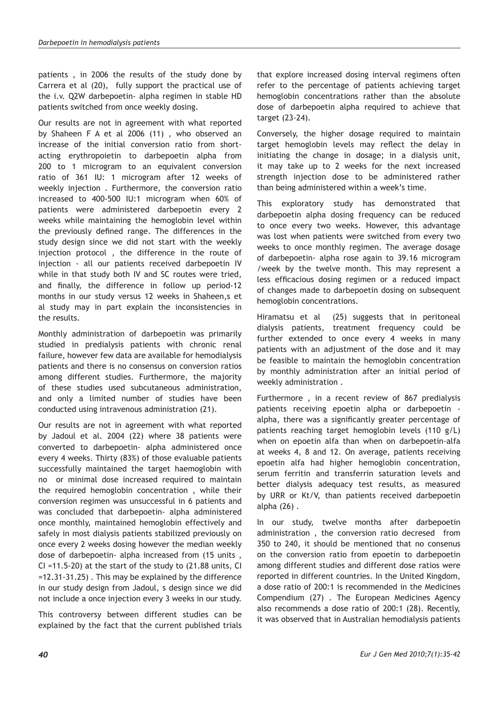patients , in 2006 the results of the study done by Carrera et al (20), fully support the practical use of the i.v. Q2W darbepoetin- alpha regimen in stable HD patients switched from once weekly dosing.

Our results are not in agreement with what reported by Shaheen F A et al 2006 (11) , who observed an increase of the initial conversion ratio from shortacting erythropoietin to darbepoetin alpha from 200 to 1 microgram to an equivalent conversion ratio of 361 IU: 1 microgram after 12 weeks of weekly injection . Furthermore, the conversion ratio increased to 400-500 IU:1 microgram when 60% of patients were administered darbepoetin every 2 weeks while maintaining the hemoglobin level within the previously defined range. The differences in the study design since we did not start with the weekly injection protocol , the difference in the route of injection - all our patients received darbepoetin IV while in that study both IV and SC routes were tried, and finally, the difference in follow up period-12 months in our study versus 12 weeks in Shaheen,s et al study may in part explain the inconsistencies in the results.

Monthly administration of darbepoetin was primarily studied in predialysis patients with chronic renal failure, however few data are available for hemodialysis patients and there is no consensus on conversion ratios among different studies. Furthermore, the majority of these studies used subcutaneous administration, and only a limited number of studies have been conducted using intravenous administration (21).

Our results are not in agreement with what reported by Jadoul et al. 2004 (22) where 38 patients were converted to darbepoetin- alpha administered once every 4 weeks. Thirty (83%) of those evaluable patients successfully maintained the target haemoglobin with no or minimal dose increased required to maintain the required hemoglobin concentration , while their conversion regimen was unsuccessful in 6 patients and was concluded that darbepoetin- alpha administered once monthly, maintained hemoglobin effectively and safely in most dialysis patients stabilized previously on once every 2 weeks dosing however the median weekly dose of darbepoetin- alpha increased from (15 units , CI =11.5-20) at the start of the study to (21.88 units, CI =12.31-31.25) . This may be explained by the difference in our study design from Jadoul, s design since we did not include a once injection every 3 weeks in our study.

This controversy between different studies can be explained by the fact that the current published trials that explore increased dosing interval regimens often refer to the percentage of patients achieving target hemoglobin concentrations rather than the absolute dose of darbepoetin alpha required to achieve that target (23-24).

Conversely, the higher dosage required to maintain target hemoglobin levels may reflect the delay in initiating the change in dosage; in a dialysis unit, it may take up to 2 weeks for the next increased strength injection dose to be administered rather than being administered within a week's time.

This exploratory study has demonstrated that darbepoetin alpha dosing frequency can be reduced to once every two weeks. However, this advantage was lost when patients were switched from every two weeks to once monthly regimen. The average dosage of darbepoetin- alpha rose again to 39.16 microgram /week by the twelve month. This may represent a less efficacious dosing regimen or a reduced impact of changes made to darbepoetin dosing on subsequent hemoglobin concentrations.

Hiramatsu et al (25) suggests that in peritoneal dialysis patients, treatment frequency could be further extended to once every 4 weeks in many patients with an adjustment of the dose and it may be feasible to maintain the hemoglobin concentration by monthly administration after an initial period of weekly administration .

Furthermore , in a recent review of 867 predialysis patients receiving epoetin alpha or darbepoetin alpha, there was a significantly greater percentage of patients reaching target hemoglobin levels (110 g/L) when on epoetin alfa than when on darbepoetin-alfa at weeks 4, 8 and 12. On average, patients receiving epoetin alfa had higher hemoglobin concentration, serum ferritin and transferrin saturation levels and better dialysis adequacy test results, as measured by URR or Kt/V, than patients received darbepoetin alpha (26) .

In our study, twelve months after darbepoetin administration , the conversion ratio decresed from 350 to 240, it should be mentioned that no consenus on the conversion ratio from epoetin to darbepoetin among different studies and different dose ratios were reported in different countries. In the United Kingdom, a dose ratio of 200:1 is recommended in the Medicines Compendium (27) . The European Medicines Agency also recommends a dose ratio of 200:1 (28). Recently, it was observed that in Australian hemodialysis patients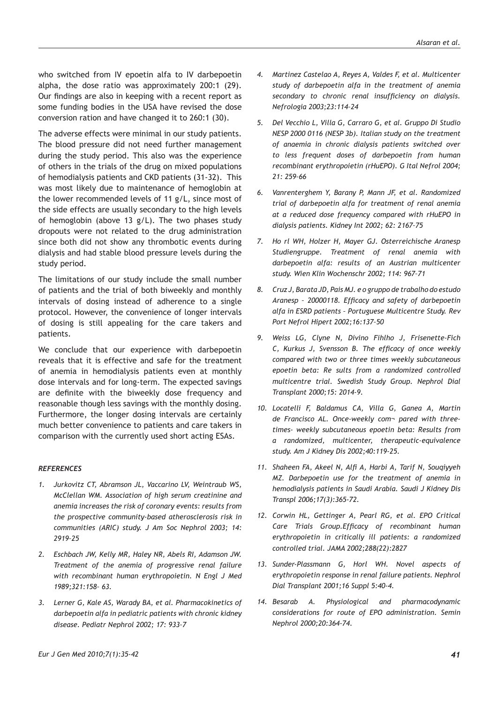who switched from IV epoetin alfa to IV darbepoetin alpha, the dose ratio was approximately 200:1 (29). Our findings are also in keeping with a recent report as some funding bodies in the USA have revised the dose conversion ration and have changed it to 260:1 (30).

The adverse effects were minimal in our study patients. The blood pressure did not need further management during the study period. This also was the experience of others in the trials of the drug on mixed populations of hemodialysis patients and CKD patients (31-32). This was most likely due to maintenance of hemoglobin at the lower recommended levels of 11 g/L, since most of the side effects are usually secondary to the high levels of hemoglobin (above 13 g/L). The two phases study dropouts were not related to the drug administration since both did not show any thrombotic events during dialysis and had stable blood pressure levels during the study period.

The limitations of our study include the small number of patients and the trial of both biweekly and monthly intervals of dosing instead of adherence to a single protocol. However, the convenience of longer intervals of dosing is still appealing for the care takers and patients.

We conclude that our experience with darbepoetin reveals that it is effective and safe for the treatment of anemia in hemodialysis patients even at monthly dose intervals and for long-term. The expected savings are definite with the biweekly dose frequency and reasonable though less savings with the monthly dosing. Furthermore, the longer dosing intervals are certainly much better convenience to patients and care takers in comparison with the currently used short acting ESAs.

#### *REFERENCES*

- *1. Jurkovitz CT, Abramson JL, Vaccarino LV, Weintraub WS, McClellan WM. Association of high serum creatinine and anemia increases the risk of coronary events: results from the prospective community-based atherosclerosis risk in communities (ARIC) study. J Am Soc Nephrol 2003; 14: 2919–25*
- *2. Eschbach JW, Kelly MR, Haley NR, Abels RI, Adamson JW. Treatment of the anemia of progressive renal failure with recombinant human erythropoietin. N Engl J Med 1989;321:158– 63.*
- *3. Lerner G, Kale AS, Warady BA, et al. Pharmacokinetics of darbepoetin alfa in pediatric patients with chronic kidney disease. Pediatr Nephrol 2002; 17: 933–7*
- *4. Martinez Castelao A, Reyes A, Valdes F, et al. Multicenter study of darbepoetin alfa in the treatment of anemia secondary to chronic renal insufficiency on dialysis. Nefrologia 2003;23:114–24*
- *5. Del Vecchio L, Villa G, Carraro G, et al. Gruppo Di Studio NESP 2000 0116 (NESP 3b). Italian study on the treatment of anaemia in chronic dialysis patients switched over to less frequent doses of darbepoetin from human recombinant erythropoietin (rHuEPO). G Ital Nefrol 2004; 21: 259–66*
- *6. Vanrenterghem Y, Barany P, Mann JF, et al. Randomized trial of darbepoetin alfa for treatment of renal anemia at a reduced dose frequency compared with rHuEPO in dialysis patients. Kidney Int 2002; 62: 2167–75*
- *7. Ho rl WH, Holzer H, Mayer GJ. Osterreichische Aranesp Studiengruppe. Treatment of renal anemia with darbepoetin alfa: results of an Austrian multicenter study. Wien Klin Wochenschr 2002; 114: 967–71*
- *8. Cruz J, Barata JD, Pais MJ. e o gruppo de trabalho do estudo Aranesp – 20000118. Efficacy and safety of darbepoetin alfa in ESRD patients – Portuguese Multicentre Study. Rev Port Nefrol Hipert 2002;16:137–50*
- *9. Weiss LG, Clyne N, Divino Fihlho J, Frisenette-Fich C, Kurkus J, Svensson B. The efficacy of once weekly compared with two or three times weekly subcutaneous epoetin beta: Re sults from a randomized controlled multicentre trial. Swedish Study Group. Nephrol Dial Transplant 2000;15: 2014-9.*
- *10. Locatelli F, Baldamus CA, Villa G, Ganea A, Martin de Francisco AL. Once-weekly com¬ pared with threetimes- weekly subcutaneous epoetin beta: Results from a randomized, multicenter, therapeutic-equivalence study. Am J Kidney Dis 2002;40:119-25.*
- *11. Shaheen FA, Akeel N, Alfi A, Harbi A, Tarif N, Souqiyyeh MZ. Darbepoetin use for the treatment of anemia in hemodialysis patients in Saudi Arabia. Saudi J Kidney Dis Transpl 2006;17(3):365-72.*
- *12. Corwin HL, Gettinger A, Pearl RG, et al. EPO Critical Care Trials Group.Efficacy of recombinant human erythropoietin in critically ill patients: a randomized controlled trial. JAMA 2002;288(22):2827*
- *13. Sunder-Plassmann G, Horl WH. Novel aspects of erythropoietin response in renal failure patients. Nephrol Dial Transplant 2001;16 Suppl 5:40-4.*
- *14. Besarab A. Physiological and pharmacodynamic considerations for route of EPO administration. Semin Nephrol 2000;20:364-74.*